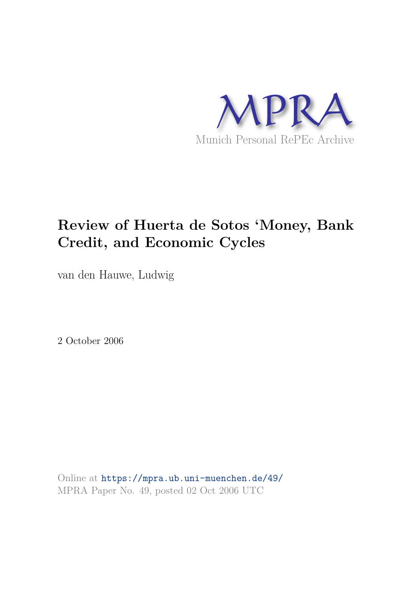

## **Review of Huerta de Sotos 'Money, Bank Credit, and Economic Cycles**

van den Hauwe, Ludwig

2 October 2006

Online at https://mpra.ub.uni-muenchen.de/49/ MPRA Paper No. 49, posted 02 Oct 2006 UTC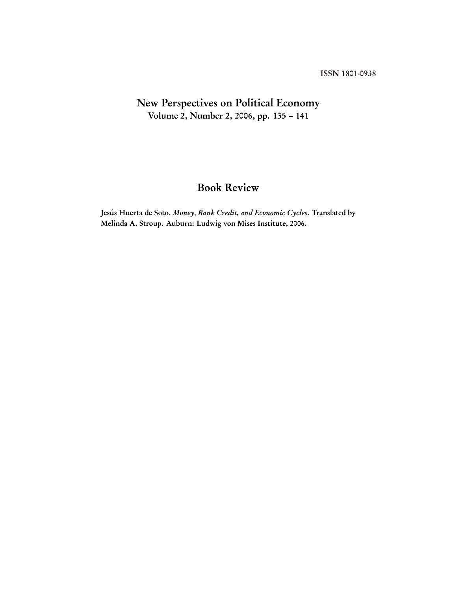## New Perspectives on Political Economy Volume 2, Number 2, 2006, pp. 135 – 141

## Book Review

Jesús Huerta de Soto. Money, Bank Credit, and Economic Cycles. Translated by Melinda A. Stroup. Auburn: Ludwig von Mises Institute, 2006.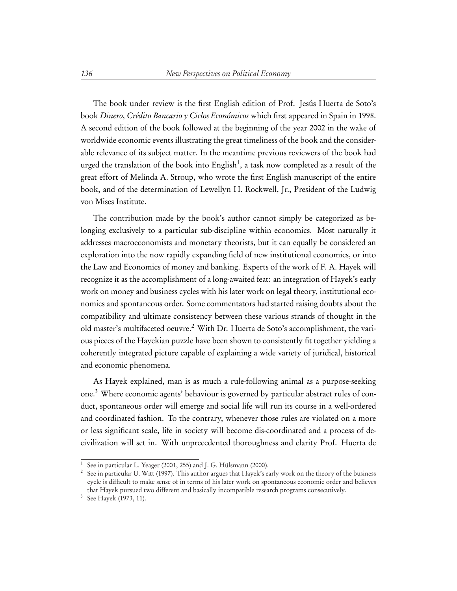The book under review is the first English edition of Prof. Jesús Huerta de Soto's book Dinero, Crédito Bancario y Ciclos Económicos which first appeared in Spain in 1998. A second edition of the book followed at the beginning of the year 2002 in the wake of worldwide economic events illustrating the great timeliness of the book and the considerable relevance of its subject matter. In the meantime previous reviewers of the book had urged the translation of the book into English $^1,$  a task now completed as a result of the great effort of Melinda A. Stroup, who wrote the first English manuscript of the entire book, and of the determination of Lewellyn H. Rockwell, Jr., President of the Ludwig von Mises Institute.

The contribution made by the book's author cannot simply be categorized as belonging exclusively to a particular sub-discipline within economics. Most naturally it addresses macroeconomists and monetary theorists, but it can equally be considered an exploration into the now rapidly expanding field of new institutional economics, or into the Law and Economics of money and banking. Experts of the work of F. A. Hayek will recognize it as the accomplishment of a long-awaited feat: an integration of Hayek's early work on money and business cycles with his later work on legal theory, institutional economics and spontaneous order. Some commentators had started raising doubts about the compatibility and ultimate consistency between these various strands of thought in the old master's multifaceted oeuvre.<sup>2</sup> With Dr. Huerta de Soto's accomplishment, the various pieces of the Hayekian puzzle have been shown to consistently fit together yielding a coherently integrated picture capable of explaining a wide variety of juridical, historical and economic phenomena.

As Hayek explained, man is as much a rule-following animal as a purpose-seeking one.<sup>3</sup> Where economic agents' behaviour is governed by particular abstract rules of conduct, spontaneous order will emerge and social life will run its course in a well-ordered and coordinated fashion. To the contrary, whenever those rules are violated on a more or less significant scale, life in society will become dis-coordinated and a process of decivilization will set in. With unprecedented thoroughness and clarity Prof. Huerta de

<sup>1</sup> See in particular L. Yeager (2001, 255) and J. G. Hülsmann (2000).

<sup>2</sup> See in particular U. Witt (1997). This author argues that Hayek's early work on the theory of the business cycle is difficult to make sense of in terms of his later work on spontaneous economic order and believes that Hayek pursued two different and basically incompatible research programs consecutively.

<sup>3</sup> See Hayek (1973, 11).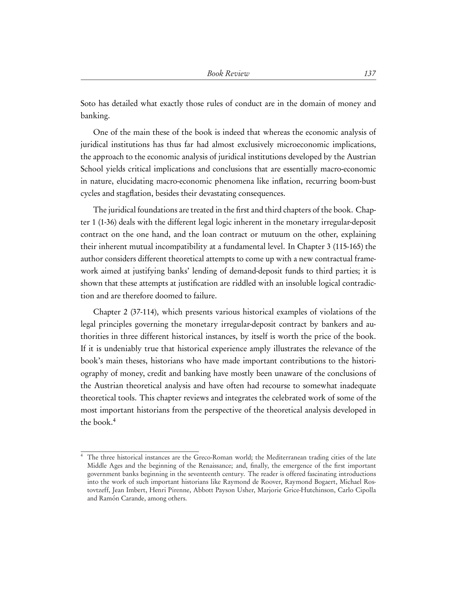Soto has detailed what exactly those rules of conduct are in the domain of money and banking.

One of the main these of the book is indeed that whereas the economic analysis of juridical institutions has thus far had almost exclusively microeconomic implications, the approach to the economic analysis of juridical institutions developed by the Austrian School yields critical implications and conclusions that are essentially macro-economic in nature, elucidating macro-economic phenomena like inflation, recurring boom-bust cycles and stagflation, besides their devastating consequences.

The juridical foundations are treated in the first and third chapters of the book. Chapter 1 (1-36) deals with the different legal logic inherent in the monetary irregular-deposit contract on the one hand, and the loan contract or mutuum on the other, explaining their inherent mutual incompatibility at a fundamental level. In Chapter 3 (115-165) the author considers different theoretical attempts to come up with a new contractual framework aimed at justifying banks' lending of demand-deposit funds to third parties; it is shown that these attempts at justification are riddled with an insoluble logical contradiction and are therefore doomed to failure.

Chapter 2 (37-114), which presents various historical examples of violations of the legal principles governing the monetary irregular-deposit contract by bankers and authorities in three different historical instances, by itself is worth the price of the book. If it is undeniably true that historical experience amply illustrates the relevance of the book's main theses, historians who have made important contributions to the historiography of money, credit and banking have mostly been unaware of the conclusions of the Austrian theoretical analysis and have often had recourse to somewhat inadequate theoretical tools. This chapter reviews and integrates the celebrated work of some of the most important historians from the perspective of the theoretical analysis developed in the book.<sup>4</sup>

<sup>&</sup>lt;sup>4</sup> The three historical instances are the Greco-Roman world; the Mediterranean trading cities of the late Middle Ages and the beginning of the Renaissance; and, finally, the emergence of the first important government banks beginning in the seventeenth century. The reader is offered fascinating introductions into the work of such important historians like Raymond de Roover, Raymond Bogaert, Michael Rostovtzeff, Jean Imbert, Henri Pirenne, Abbott Payson Usher, Marjorie Grice-Hutchinson, Carlo Cipolla and Ramón Carande, among others.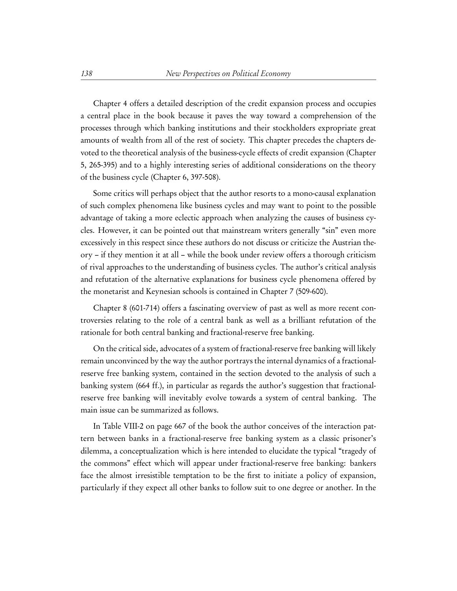Chapter 4 offers a detailed description of the credit expansion process and occupies a central place in the book because it paves the way toward a comprehension of the processes through which banking institutions and their stockholders expropriate great amounts of wealth from all of the rest of society. This chapter precedes the chapters devoted to the theoretical analysis of the business-cycle effects of credit expansion (Chapter 5, 265-395) and to a highly interesting series of additional considerations on the theory of the business cycle (Chapter 6, 397-508).

Some critics will perhaps object that the author resorts to a mono-causal explanation of such complex phenomena like business cycles and may want to point to the possible advantage of taking a more eclectic approach when analyzing the causes of business cycles. However, it can be pointed out that mainstream writers generally "sin" even more excessively in this respect since these authors do not discuss or criticize the Austrian theory – if they mention it at all – while the book under review offers a thorough criticism of rival approaches to the understanding of business cycles. The author's critical analysis and refutation of the alternative explanations for business cycle phenomena offered by the monetarist and Keynesian schools is contained in Chapter 7 (509-600).

Chapter 8 (601-714) offers a fascinating overview of past as well as more recent controversies relating to the role of a central bank as well as a brilliant refutation of the rationale for both central banking and fractional-reserve free banking.

On the critical side, advocates of a system of fractional-reserve free banking will likely remain unconvinced by the way the author portrays the internal dynamics of a fractionalreserve free banking system, contained in the section devoted to the analysis of such a banking system (664 ff.), in particular as regards the author's suggestion that fractionalreserve free banking will inevitably evolve towards a system of central banking. The main issue can be summarized as follows.

In Table VIII-2 on page 667 of the book the author conceives of the interaction pattern between banks in a fractional-reserve free banking system as a classic prisoner's dilemma, a conceptualization which is here intended to elucidate the typical "tragedy of the commons" effect which will appear under fractional-reserve free banking: bankers face the almost irresistible temptation to be the first to initiate a policy of expansion, particularly if they expect all other banks to follow suit to one degree or another. In the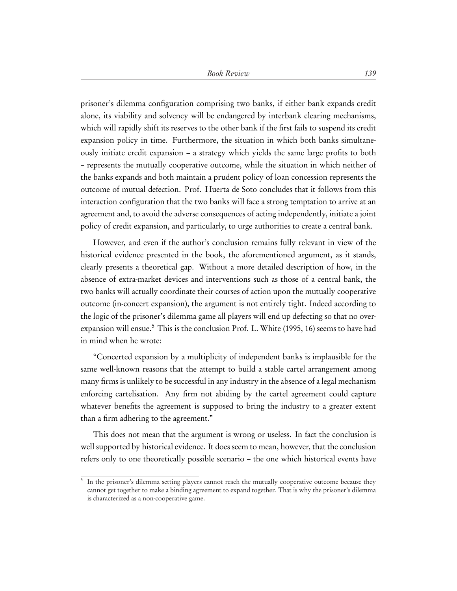prisoner's dilemma configuration comprising two banks, if either bank expands credit alone, its viability and solvency will be endangered by interbank clearing mechanisms, which will rapidly shift its reserves to the other bank if the first fails to suspend its credit expansion policy in time. Furthermore, the situation in which both banks simultaneously initiate credit expansion – a strategy which yields the same large profits to both – represents the mutually cooperative outcome, while the situation in which neither of the banks expands and both maintain a prudent policy of loan concession represents the outcome of mutual defection. Prof. Huerta de Soto concludes that it follows from this interaction configuration that the two banks will face a strong temptation to arrive at an agreement and, to avoid the adverse consequences of acting independently, initiate a joint policy of credit expansion, and particularly, to urge authorities to create a central bank.

However, and even if the author's conclusion remains fully relevant in view of the historical evidence presented in the book, the aforementioned argument, as it stands, clearly presents a theoretical gap. Without a more detailed description of how, in the absence of extra-market devices and interventions such as those of a central bank, the two banks will actually coordinate their courses of action upon the mutually cooperative outcome (in-concert expansion), the argument is not entirely tight. Indeed according to the logic of the prisoner's dilemma game all players will end up defecting so that no overexpansion will ensue.<sup>5</sup> This is the conclusion Prof. L. White (1995, 16) seems to have had in mind when he wrote:

"Concerted expansion by a multiplicity of independent banks is implausible for the same well-known reasons that the attempt to build a stable cartel arrangement among many firms is unlikely to be successful in any industry in the absence of a legal mechanism enforcing cartelisation. Any firm not abiding by the cartel agreement could capture whatever benefits the agreement is supposed to bring the industry to a greater extent than a firm adhering to the agreement."

This does not mean that the argument is wrong or useless. In fact the conclusion is well supported by historical evidence. It does seem to mean, however, that the conclusion refers only to one theoretically possible scenario – the one which historical events have

<sup>&</sup>lt;sup>5</sup> In the prisoner's dilemma setting players cannot reach the mutually cooperative outcome because they cannot get together to make a binding agreement to expand together. That is why the prisoner's dilemma is characterized as a non-cooperative game.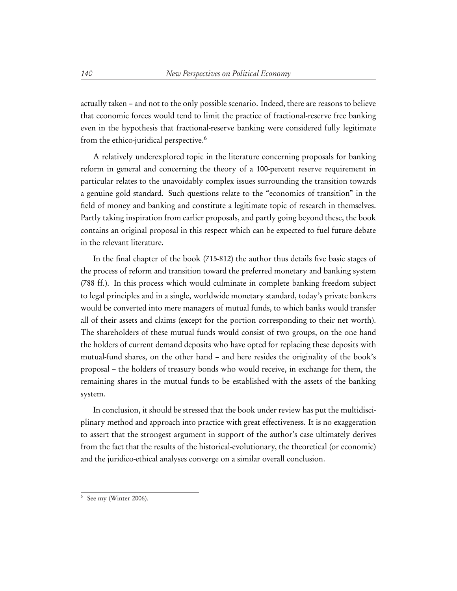actually taken – and not to the only possible scenario. Indeed, there are reasons to believe that economic forces would tend to limit the practice of fractional-reserve free banking even in the hypothesis that fractional-reserve banking were considered fully legitimate from the ethico-juridical perspective.<sup>6</sup>

A relatively underexplored topic in the literature concerning proposals for banking reform in general and concerning the theory of a 100-percent reserve requirement in particular relates to the unavoidably complex issues surrounding the transition towards a genuine gold standard. Such questions relate to the "economics of transition" in the field of money and banking and constitute a legitimate topic of research in themselves. Partly taking inspiration from earlier proposals, and partly going beyond these, the book contains an original proposal in this respect which can be expected to fuel future debate in the relevant literature.

In the final chapter of the book (715-812) the author thus details five basic stages of the process of reform and transition toward the preferred monetary and banking system (788 ff.). In this process which would culminate in complete banking freedom subject to legal principles and in a single, worldwide monetary standard, today's private bankers would be converted into mere managers of mutual funds, to which banks would transfer all of their assets and claims (except for the portion corresponding to their net worth). The shareholders of these mutual funds would consist of two groups, on the one hand the holders of current demand deposits who have opted for replacing these deposits with mutual-fund shares, on the other hand – and here resides the originality of the book's proposal – the holders of treasury bonds who would receive, in exchange for them, the remaining shares in the mutual funds to be established with the assets of the banking system.

In conclusion, it should be stressed that the book under review has put the multidisciplinary method and approach into practice with great effectiveness. It is no exaggeration to assert that the strongest argument in support of the author's case ultimately derives from the fact that the results of the historical-evolutionary, the theoretical (or economic) and the juridico-ethical analyses converge on a similar overall conclusion.

<sup>6</sup> See my (Winter 2006).